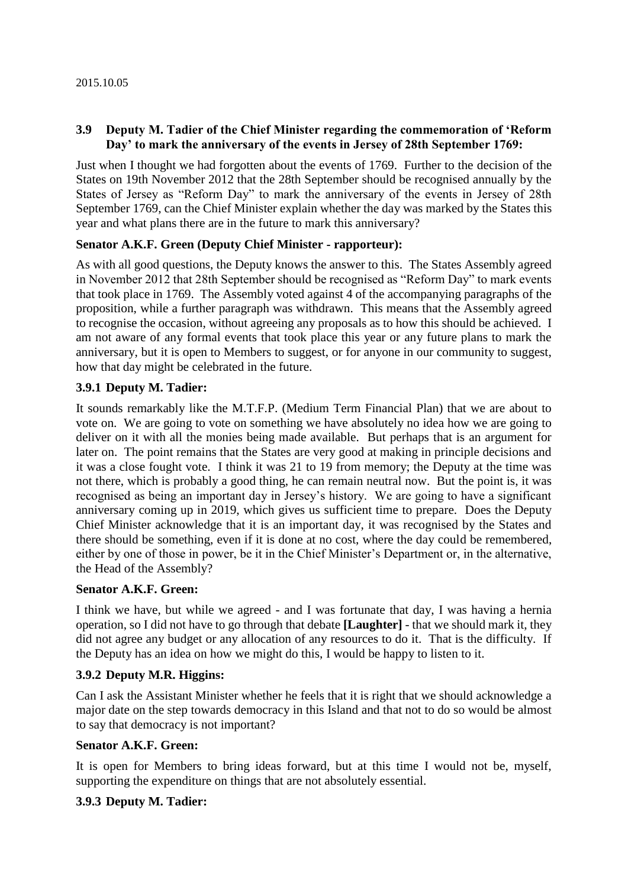## **3.9 Deputy M. Tadier of the Chief Minister regarding the commemoration of 'Reform Day' to mark the anniversary of the events in Jersey of 28th September 1769:**

Just when I thought we had forgotten about the events of 1769. Further to the decision of the States on 19th November 2012 that the 28th September should be recognised annually by the States of Jersey as "Reform Day" to mark the anniversary of the events in Jersey of 28th September 1769, can the Chief Minister explain whether the day was marked by the States this year and what plans there are in the future to mark this anniversary?

## **Senator A.K.F. Green (Deputy Chief Minister - rapporteur):**

As with all good questions, the Deputy knows the answer to this. The States Assembly agreed in November 2012 that 28th September should be recognised as "Reform Day" to mark events that took place in 1769. The Assembly voted against 4 of the accompanying paragraphs of the proposition, while a further paragraph was withdrawn. This means that the Assembly agreed to recognise the occasion, without agreeing any proposals as to how this should be achieved. I am not aware of any formal events that took place this year or any future plans to mark the anniversary, but it is open to Members to suggest, or for anyone in our community to suggest, how that day might be celebrated in the future.

#### **3.9.1 Deputy M. Tadier:**

It sounds remarkably like the M.T.F.P. (Medium Term Financial Plan) that we are about to vote on. We are going to vote on something we have absolutely no idea how we are going to deliver on it with all the monies being made available. But perhaps that is an argument for later on. The point remains that the States are very good at making in principle decisions and it was a close fought vote. I think it was 21 to 19 from memory; the Deputy at the time was not there, which is probably a good thing, he can remain neutral now. But the point is, it was recognised as being an important day in Jersey's history. We are going to have a significant anniversary coming up in 2019, which gives us sufficient time to prepare. Does the Deputy Chief Minister acknowledge that it is an important day, it was recognised by the States and there should be something, even if it is done at no cost, where the day could be remembered, either by one of those in power, be it in the Chief Minister's Department or, in the alternative, the Head of the Assembly?

#### **Senator A.K.F. Green:**

I think we have, but while we agreed - and I was fortunate that day, I was having a hernia operation, so I did not have to go through that debate **[Laughter]** - that we should mark it, they did not agree any budget or any allocation of any resources to do it. That is the difficulty. If the Deputy has an idea on how we might do this, I would be happy to listen to it.

#### **3.9.2 Deputy M.R. Higgins:**

Can I ask the Assistant Minister whether he feels that it is right that we should acknowledge a major date on the step towards democracy in this Island and that not to do so would be almost to say that democracy is not important?

#### **Senator A.K.F. Green:**

It is open for Members to bring ideas forward, but at this time I would not be, myself, supporting the expenditure on things that are not absolutely essential.

# **3.9.3 Deputy M. Tadier:**